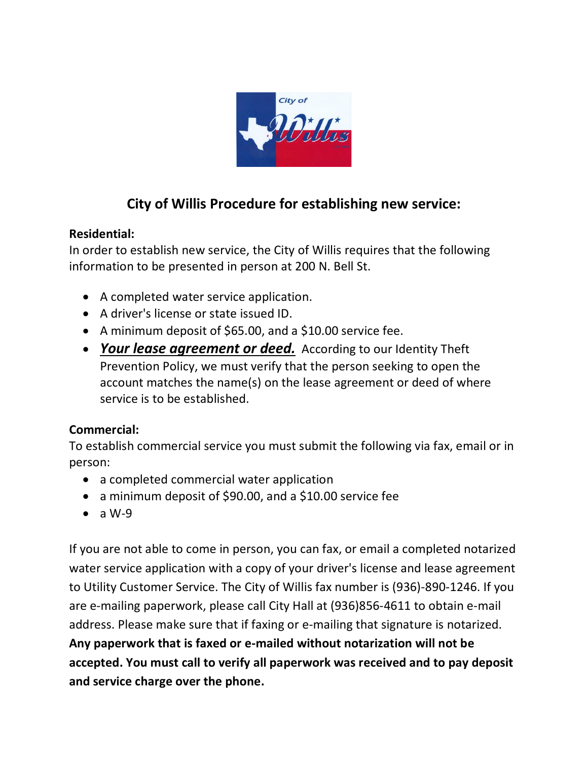

## **City of Willis Procedure for establishing new service:**

### **Residential:**

In order to establish new service, the City of Willis requires that the following information to be presented in person at 200 N. Bell St.

- A completed [water service application.](http://tx-willis.civicplus.com/DocumentView.aspx?DID=22)
- A driver's license or state issued ID.
- A minimum deposit of \$65.00, and a \$10.00 service fee.
- *Your lease agreement or deed.* According to our Identity Theft Prevention Policy, we must verify that the person seeking to open the account matches the name(s) on the lease agreement or deed of where service is to be established.

### **Commercial:**

To establish commercial service you must submit the following via fax, email or in person:

- a completed [commercial water application](http://tx-willis.civicplus.com/DocumentCenter/Home/View/40)
- a minimum deposit of \$90.00, and a \$10.00 service fee
- $\bullet$  a W-9

If you are not able to come in person, you can fax, or email a completed notarized water service application with a copy of your driver's license and lease agreement to [Utility Customer Service.](mailto:lmendoza@ci.willis.tx.us) The City of Willis fax number is (936)-890-1246. If you are e-mailing paperwork, please call City Hall at (936)856-4611 to obtain e-mail address. Please make sure that if faxing or e-mailing that signature is notarized. **Any paperwork that is faxed or e-mailed without notarization will not be accepted. You must call to verify all paperwork was received and to pay deposit and service charge over the phone.**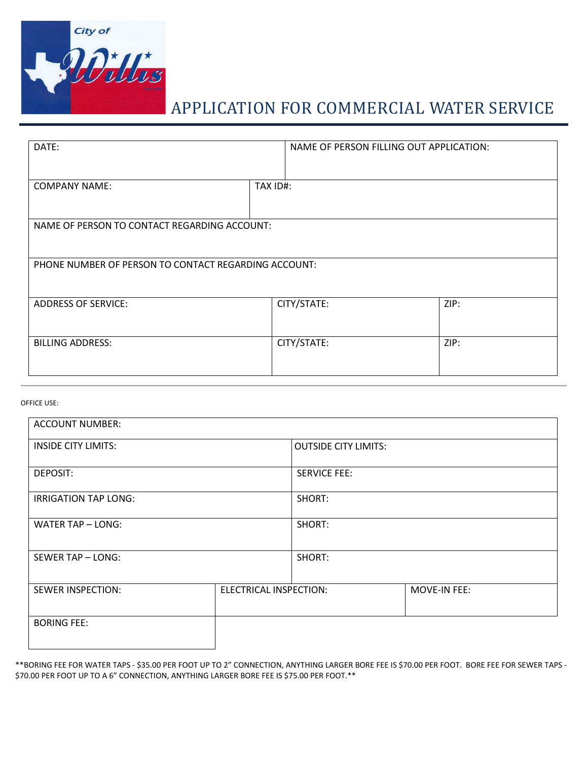

## APPLICATION FOR COMMERCIAL WATER SERVICE

| DATE:                                                |             | NAME OF PERSON FILLING OUT APPLICATION: |      |
|------------------------------------------------------|-------------|-----------------------------------------|------|
| <b>COMPANY NAME:</b>                                 | TAX ID#:    |                                         |      |
| NAME OF PERSON TO CONTACT REGARDING ACCOUNT:         |             |                                         |      |
| PHONE NUMBER OF PERSON TO CONTACT REGARDING ACCOUNT: |             |                                         |      |
| <b>ADDRESS OF SERVICE:</b>                           | CITY/STATE: |                                         | ZIP: |
| <b>BILLING ADDRESS:</b>                              | CITY/STATE: |                                         | ZIP: |

#### OFFICE USE:

| <b>ACCOUNT NUMBER:</b>      |                               |                             |              |
|-----------------------------|-------------------------------|-----------------------------|--------------|
| <b>INSIDE CITY LIMITS:</b>  |                               | <b>OUTSIDE CITY LIMITS:</b> |              |
| DEPOSIT:                    |                               | <b>SERVICE FEE:</b>         |              |
| <b>IRRIGATION TAP LONG:</b> |                               | SHORT:                      |              |
| WATER TAP - LONG:           |                               | SHORT:                      |              |
| SEWER TAP - LONG:           |                               | SHORT:                      |              |
| <b>SEWER INSPECTION:</b>    | <b>ELECTRICAL INSPECTION:</b> |                             | MOVE-IN FEE: |
| <b>BORING FEE:</b>          |                               |                             |              |

\*\*BORING FEE FOR WATER TAPS - \$35.00 PER FOOT UP TO 2" CONNECTION, ANYTHING LARGER BORE FEE IS \$70.00 PER FOOT. BORE FEE FOR SEWER TAPS - \$70.00 PER FOOT UP TO A 6" CONNECTION, ANYTHING LARGER BORE FEE IS \$75.00 PER FOOT.\*\*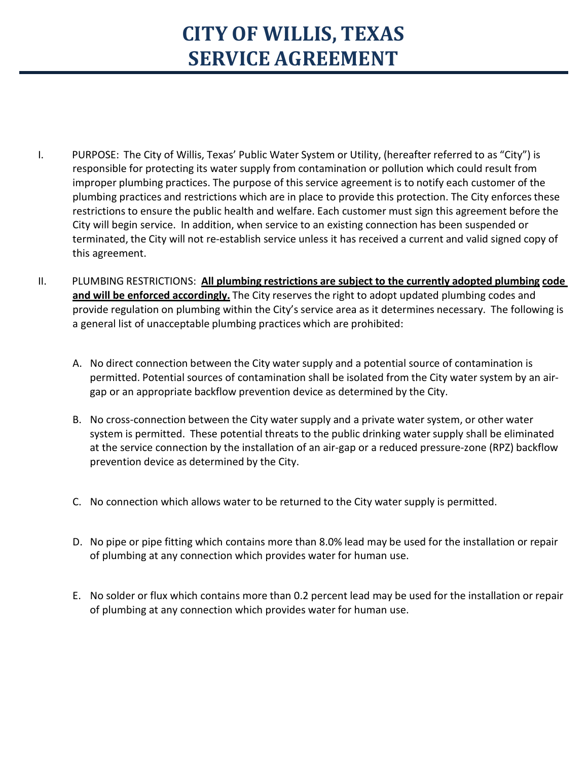# **CITY OF WILLIS, TEXAS SERVICE AGREEMENT**

- I. PURPOSE: The City of Willis, Texas' Public Water System or Utility, (hereafter referred to as "City") is responsible for protecting its water supply from contamination or pollution which could result from improper plumbing practices. The purpose of this service agreement is to notify each customer of the plumbing practices and restrictions which are in place to provide this protection. The City enforces these restrictions to ensure the public health and welfare. Each customer must sign this agreement before the City will begin service. In addition, when service to an existing connection has been suspended or terminated, the City will not re-establish service unless it has received a current and valid signed copy of this agreement.
- II. PLUMBING RESTRICTIONS: **All plumbing restrictions are subject to the currently adopted plumbing code** and will be enforced accordingly. The City reserves the right to adopt updated plumbing codes and provide regulation on plumbing within the City's service area as it determines necessary. The following is a general list of unacceptable plumbing practices which are prohibited:
	- A. No direct connection between the City water supply and a potential source of contamination is permitted. Potential sources of contamination shall be isolated from the City water system by an airgap or an appropriate backflow prevention device as determined by the City.
	- B. No cross-connection between the City water supply and a private water system, or other water system is permitted. These potential threats to the public drinking water supply shall be eliminated at the service connection by the installation of an air-gap or a reduced pressure-zone (RPZ) backflow prevention device as determined by the City.
	- C. No connection which allows water to be returned to the City water supply is permitted.
	- D. No pipe or pipe fitting which contains more than 8.0% lead may be used for the installation or repair of plumbing at any connection which provides water for human use.
	- E. No solder or flux which contains more than 0.2 percent lead may be used for the installation or repair of plumbing at any connection which provides water for human use.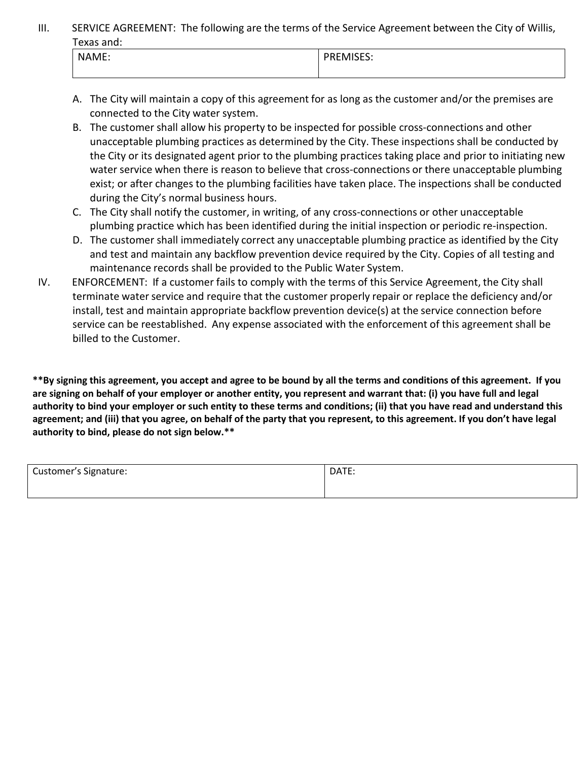III. SERVICE AGREEMENT: The following are the terms of the Service Agreement between the City of Willis, Texas and:

| .     |                                              |  |
|-------|----------------------------------------------|--|
| NAME. | $'$ DDENAICEC.<br>· IVI<br>… ט∟טוי<br>______ |  |
|       |                                              |  |

- A. The City will maintain a copy of this agreement for as long as the customer and/or the premises are connected to the City water system.
- B. The customer shall allow his property to be inspected for possible cross-connections and other unacceptable plumbing practices as determined by the City. These inspections shall be conducted by the City or its designated agent prior to the plumbing practices taking place and prior to initiating new water service when there is reason to believe that cross-connections or there unacceptable plumbing exist; or after changes to the plumbing facilities have taken place. The inspections shall be conducted during the City's normal business hours.
- C. The City shall notify the customer, in writing, of any cross-connections or other unacceptable plumbing practice which has been identified during the initial inspection or periodic re-inspection.
- D. The customer shall immediately correct any unacceptable plumbing practice as identified by the City and test and maintain any backflow prevention device required by the City. Copies of all testing and maintenance records shall be provided to the Public Water System.
- IV. ENFORCEMENT: If a customer fails to comply with the terms of this Service Agreement, the City shall terminate water service and require that the customer properly repair or replace the deficiency and/or install, test and maintain appropriate backflow prevention device(s) at the service connection before service can be reestablished. Any expense associated with the enforcement of this agreement shall be billed to the Customer.

**\*\*By signing this agreement, you accept and agree to be bound by all the terms and conditions of this agreement. If you are signing on behalf of your employer or another entity, you represent and warrant that: (i) you have full and legal authority to bind your employer or such entity to these terms and conditions; (ii) that you have read and understand this agreement; and (iii) that you agree, on behalf of the party that you represent, to this agreement. If you don't have legal authority to bind, please do not sign below.\*\***

| <b>Customer's Signature:</b> | DATE: |
|------------------------------|-------|
|                              |       |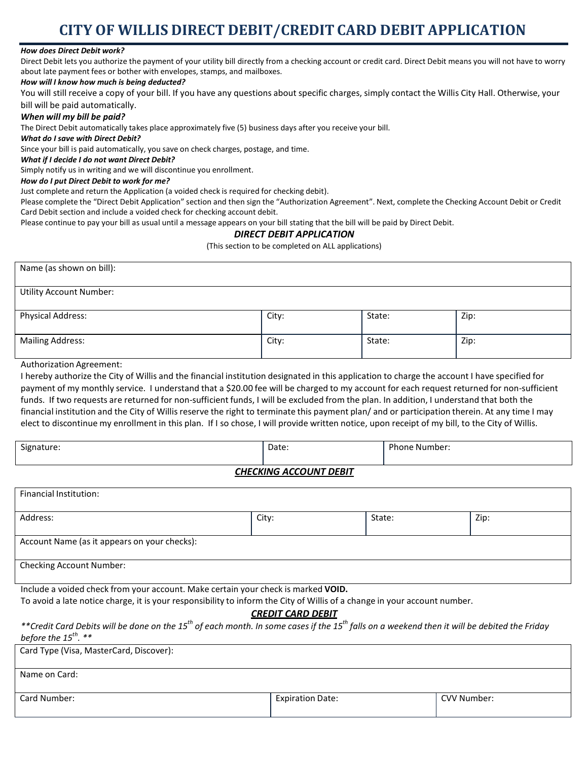## **CITY OF WILLIS DIRECT DEBIT/CREDIT CARD DEBIT APPLICATION**

#### *How does Direct Debit work?*

Direct Debit lets you authorize the payment of your utility bill directly from a checking account or credit card. Direct Debit means you will not have to worry about late payment fees or bother with envelopes, stamps, and mailboxes.

#### *How will I know how much is being deducted?*

You will still receive a copy of your bill. If you have any questions about specific charges, simply contact the Willis City Hall. Otherwise, your bill will be paid automatically.

#### *When will my bill be paid?*

The Direct Debit automatically takes place approximately five (5) business days after you receive your bill.

#### *What do I save with Direct Debit?*

Since your bill is paid automatically, you save on check charges, postage, and time.

#### *What if I decide I do not want Direct Debit?*

Simply notify us in writing and we will discontinue you enrollment.

#### *How do I put Direct Debit to work for me?*

Just complete and return the Application (a voided check is required for checking debit).

Please complete the "Direct Debit Application" section and then sign the "Authorization Agreement". Next, complete the Checking Account Debit or Credit Card Debit section and include a voided check for checking account debit.

Please continue to pay your bill as usual until a message appears on your bill stating that the bill will be paid by Direct Debit.

#### *DIRECT DEBIT APPLICATION*

(This section to be completed on ALL applications)

| Name (as shown on bill):       |       |        |      |
|--------------------------------|-------|--------|------|
|                                |       |        |      |
| <b>Utility Account Number:</b> |       |        |      |
|                                |       |        |      |
| Physical Address:              | City: | State: | Zip: |
|                                |       |        |      |
| <b>Mailing Address:</b>        | City: | State: | Zip: |
|                                |       |        |      |
|                                |       |        |      |

Authorization Agreement:

I hereby authorize the City of Willis and the financial institution designated in this application to charge the account I have specified for payment of my monthly service. I understand that a \$20.00 fee will be charged to my account for each request returned for non-sufficient funds. If two requests are returned for non-sufficient funds, I will be excluded from the plan. In addition, I understand that both the financial institution and the City of Willis reserve the right to terminate this payment plan/ and or participation therein. At any time I may elect to discontinue my enrollment in this plan. If I so chose, I will provide written notice, upon receipt of my bill, to the City of Willis.

| Signature. | Date: | per |
|------------|-------|-----|
|            |       |     |

#### *CHECKING ACCOUNT DEBIT*

| Financial Institution:                       |       |        |      |  |
|----------------------------------------------|-------|--------|------|--|
| Address:                                     | City: | State: | Zip: |  |
| Account Name (as it appears on your checks): |       |        |      |  |
| <b>Checking Account Number:</b>              |       |        |      |  |

Include a voided check from your account. Make certain your check is marked **VOID.**

To avoid a late notice charge, it is your responsibility to inform the City of Willis of a change in your account number.

#### *CREDIT CARD DEBIT*

*\*\*Credit Card Debits will be done on the 15th of each month. In some cases if the 15th falls on a weekend then it will be debited the Friday before the 15th. \*\**

| Card Type (Visa, MasterCard, Discover): |                         |             |
|-----------------------------------------|-------------------------|-------------|
| Name on Card:                           |                         |             |
| Card Number:                            | <b>Expiration Date:</b> | CVV Number: |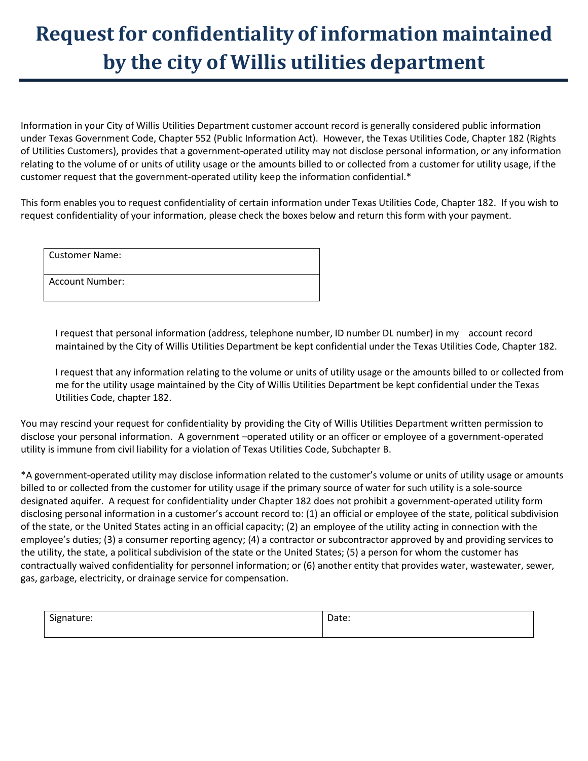# **Request for confidentiality of information maintained by the city of Willis utilities department**

Information in your City of Willis Utilities Department customer account record is generally considered public information under Texas Government Code, Chapter 552 (Public Information Act). However, the Texas Utilities Code, Chapter 182 (Rights of Utilities Customers), provides that a government-operated utility may not disclose personal information, or any information relating to the volume of or units of utility usage or the amounts billed to or collected from a customer for utility usage, if the customer request that the government-operated utility keep the information confidential.\*

This form enables you to request confidentiality of certain information under Texas Utilities Code, Chapter 182. If you wish to request confidentiality of your information, please check the boxes below and return this form with your payment.

| <b>Customer Name:</b>  |  |
|------------------------|--|
| <b>Account Number:</b> |  |

I request that personal information (address, telephone number, ID number DL number) in my account record maintained by the City of Willis Utilities Department be kept confidential under the Texas Utilities Code, Chapter 182.

I request that any information relating to the volume or units of utility usage or the amounts billed to or collected from me for the utility usage maintained by the City of Willis Utilities Department be kept confidential under the Texas Utilities Code, chapter 182.

You may rescind your request for confidentiality by providing the City of Willis Utilities Department written permission to disclose your personal information. A government –operated utility or an officer or employee of a government-operated utility is immune from civil liability for a violation of Texas Utilities Code, Subchapter B.

\*A government-operated utility may disclose information related to the customer's volume or units of utility usage or amounts billed to or collected from the customer for utility usage if the primary source of water for such utility is a sole-source designated aquifer. A request for confidentiality under Chapter 182 does not prohibit a government-operated utility form disclosing personal information in a customer's account record to: (1) an official or employee of the state, political subdivision of the state, or the United States acting in an official capacity; (2) an employee of the utility acting in connection with the employee's duties; (3) a consumer reporting agency; (4) a contractor or subcontractor approved by and providing services to the utility, the state, a political subdivision of the state or the United States; (5) a person for whom the customer has contractually waived confidentiality for personnel information; or (6) another entity that provides water, wastewater, sewer, gas, garbage, electricity, or drainage service for compensation.

| $\sim$<br>Signature:<br>- . <u>.</u> | `~~~<br>Date: |
|--------------------------------------|---------------|
|                                      |               |